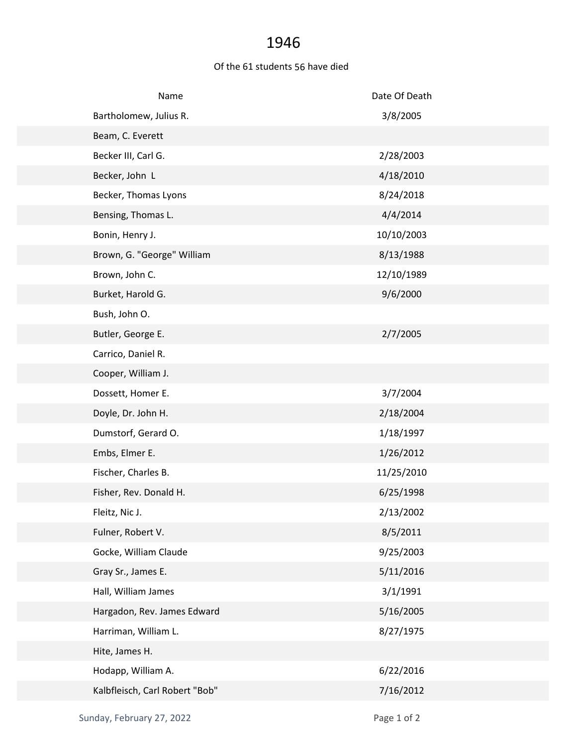## 1946

## Of the 61 students 56 have died

| Name                           | Date Of Death |
|--------------------------------|---------------|
| Bartholomew, Julius R.         | 3/8/2005      |
| Beam, C. Everett               |               |
| Becker III, Carl G.            | 2/28/2003     |
| Becker, John L                 | 4/18/2010     |
| Becker, Thomas Lyons           | 8/24/2018     |
| Bensing, Thomas L.             | 4/4/2014      |
| Bonin, Henry J.                | 10/10/2003    |
| Brown, G. "George" William     | 8/13/1988     |
| Brown, John C.                 | 12/10/1989    |
| Burket, Harold G.              | 9/6/2000      |
| Bush, John O.                  |               |
| Butler, George E.              | 2/7/2005      |
| Carrico, Daniel R.             |               |
| Cooper, William J.             |               |
| Dossett, Homer E.              | 3/7/2004      |
| Doyle, Dr. John H.             | 2/18/2004     |
| Dumstorf, Gerard O.            | 1/18/1997     |
| Embs, Elmer E.                 | 1/26/2012     |
| Fischer, Charles B.            | 11/25/2010    |
| Fisher, Rev. Donald H.         | 6/25/1998     |
| Fleitz, Nic J.                 | 2/13/2002     |
| Fulner, Robert V.              | 8/5/2011      |
| Gocke, William Claude          | 9/25/2003     |
| Gray Sr., James E.             | 5/11/2016     |
| Hall, William James            | 3/1/1991      |
| Hargadon, Rev. James Edward    | 5/16/2005     |
| Harriman, William L.           | 8/27/1975     |
| Hite, James H.                 |               |
| Hodapp, William A.             | 6/22/2016     |
| Kalbfleisch, Carl Robert "Bob" | 7/16/2012     |
|                                |               |